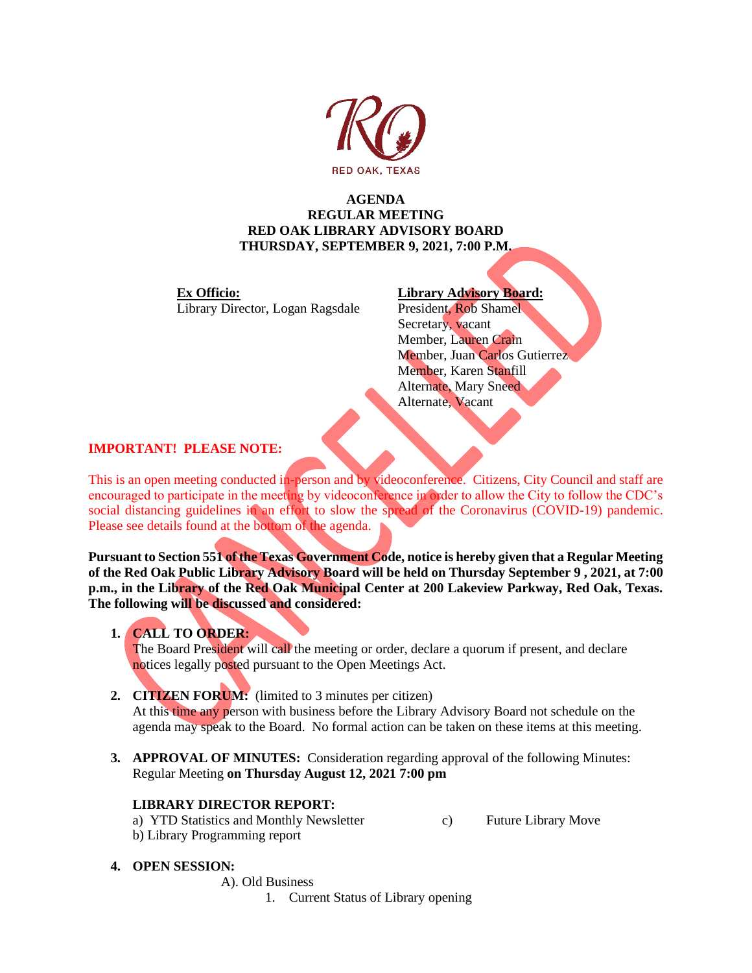

# **AGENDA REGULAR MEETING RED OAK LIBRARY ADVISORY BOARD THURSDAY, SEPTEMBER 9, 2021, 7:00 P.M.**

**Ex Officio: Library Advisory Board:** Library Director, Logan Ragsdale President, Rob Shamel

Secretary, vacant Member, Lauren Crain Member, Juan Carlos Gutierrez Member, Karen Stanfill Alternate, Mary Sneed Alternate, Vacant

# **IMPORTANT! PLEASE NOTE:**

This is an open meeting conducted in-person and by videoconference. Citizens, City Council and staff are encouraged to participate in the meeting by videoconference in order to allow the City to follow the CDC's social distancing guidelines in an effort to slow the spread of the Coronavirus (COVID-19) pandemic. Please see details found at the bottom of the agenda.

**Pursuant to Section 551 of the Texas Government Code, notice is hereby given that a Regular Meeting of the Red Oak Public Library Advisory Board will be held on Thursday September 9 , 2021, at 7:00 p.m., in the Library of the Red Oak Municipal Center at 200 Lakeview Parkway, Red Oak, Texas. The following will be discussed and considered:**

**1. CALL TO ORDER:**

The Board President will call the meeting or order, declare a quorum if present, and declare notices legally posted pursuant to the Open Meetings Act.

**2. CITIZEN FORUM:** (limited to 3 minutes per citizen)

At this time any person with business before the Library Advisory Board not schedule on the agenda may speak to the Board. No formal action can be taken on these items at this meeting.

**3. APPROVAL OF MINUTES:** Consideration regarding approval of the following Minutes: Regular Meeting **on Thursday August 12, 2021 7:00 pm**

# **LIBRARY DIRECTOR REPORT:**

a) YTD Statistics and Monthly Newsletter c) Future Library Move b) Library Programming report

- **4. OPEN SESSION:**
	- A). Old Business
		- 1. Current Status of Library opening